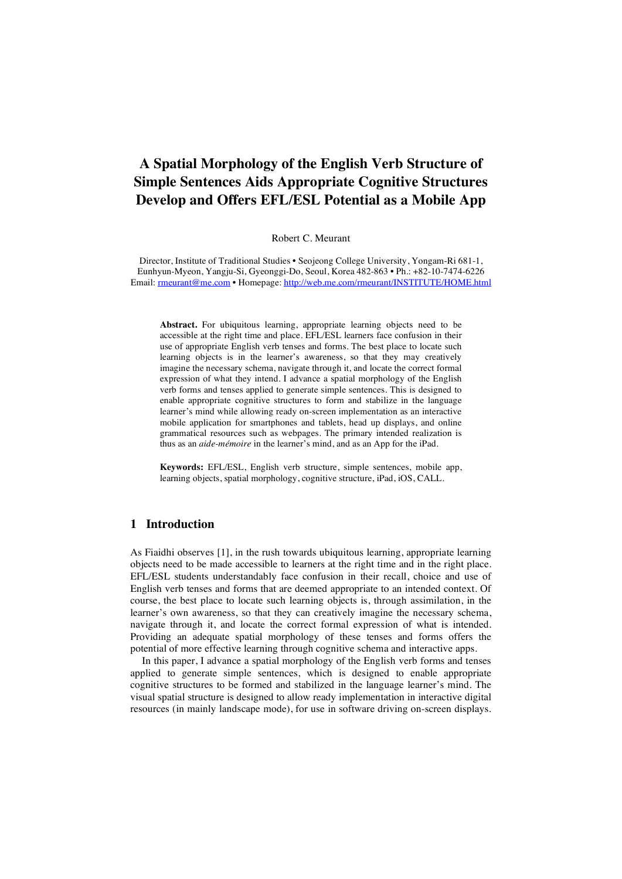# **A Spatial Morphology of the English Verb Structure of Simple Sentences Aids Appropriate Cognitive Structures Develop and Offers EFL/ESL Potential as a Mobile App**

Robert C. Meurant

Director, Institute of Traditional Studies • Seojeong College University, Yongam-Ri 681-1, Eunhyun-Myeon, Yangju-Si, Gyeonggi-Do, Seoul, Korea 482-863 • Ph.: +82-10-7474-6226 Email: **rmeurant@me.com** • Homepage: http://web.me.com/rmeurant/INSTITUTE/HOME.html

**Abstract.** For ubiquitous learning, appropriate learning objects need to be accessible at the right time and place. EFL/ESL learners face confusion in their use of appropriate English verb tenses and forms. The best place to locate such learning objects is in the learner's awareness, so that they may creatively imagine the necessary schema, navigate through it, and locate the correct formal expression of what they intend. I advance a spatial morphology of the English verb forms and tenses applied to generate simple sentences. This is designed to enable appropriate cognitive structures to form and stabilize in the language learner's mind while allowing ready on-screen implementation as an interactive mobile application for smartphones and tablets, head up displays, and online grammatical resources such as webpages. The primary intended realization is thus as an *aide-mémoire* in the learner's mind, and as an App for the iPad.

**Keywords:** EFL/ESL, English verb structure, simple sentences, mobile app, learning objects, spatial morphology, cognitive structure, iPad, iOS, CALL.

# **1 Introduction**

As Fiaidhi observes [1], in the rush towards ubiquitous learning, appropriate learning objects need to be made accessible to learners at the right time and in the right place. EFL/ESL students understandably face confusion in their recall, choice and use of English verb tenses and forms that are deemed appropriate to an intended context. Of course, the best place to locate such learning objects is, through assimilation, in the learner's own awareness, so that they can creatively imagine the necessary schema, navigate through it, and locate the correct formal expression of what is intended. Providing an adequate spatial morphology of these tenses and forms offers the potential of more effective learning through cognitive schema and interactive apps.

In this paper, I advance a spatial morphology of the English verb forms and tenses applied to generate simple sentences, which is designed to enable appropriate cognitive structures to be formed and stabilized in the language learner's mind. The visual spatial structure is designed to allow ready implementation in interactive digital resources (in mainly landscape mode), for use in software driving on-screen displays.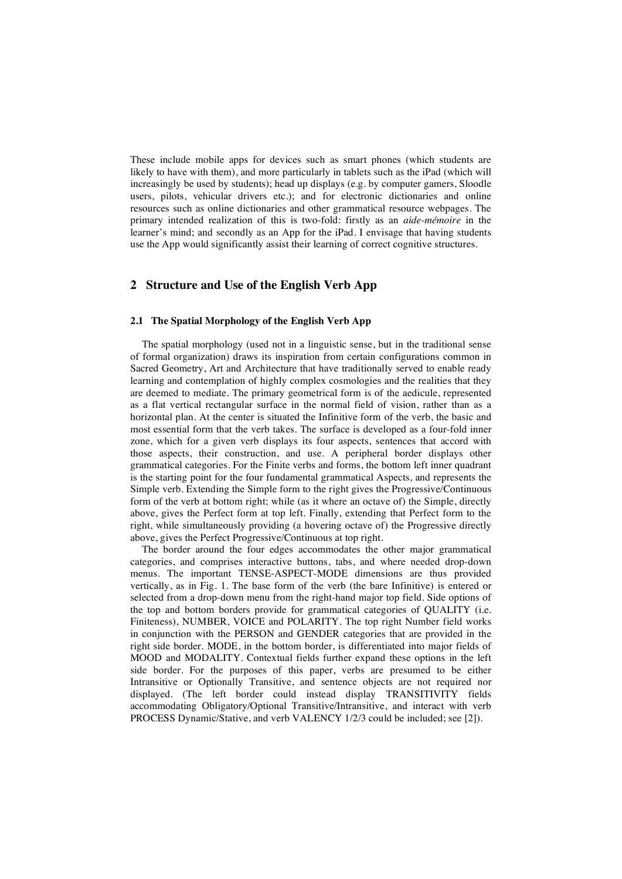These include mobile apps for devices such as smart phones (which students are likely to have with them), and more particularly in tablets such as the iPad (which will increasingly be used by students); head up displays (e.g. by computer gamers, Sloodle users, pilots, vehicular drivers etc.); and for electronic dictionaries and online resources such as online dictionaries and other grammatical resource webpages. The primary intended realization of this is two-fold: firstly as an *aide-mémoire* in the learner's mind; and secondly as an App for the iPad. I envisage that having students use the App would significantly assist their learning of correct cognitive structures.

### **2 Structure and Use of the English Verb App**

#### **2.1 The Spatial Morphology of the English Verb App**

The spatial morphology (used not in a linguistic sense, but in the traditional sense of formal organization) draws its inspiration from certain configurations common in Sacred Geometry, Art and Architecture that have traditionally served to enable ready learning and contemplation of highly complex cosmologies and the realities that they are deemed to mediate. The primary geometrical form is of the aedicule, represented as a flat vertical rectangular surface in the normal field of vision, rather than as a horizontal plan. At the center is situated the Infinitive form of the verb, the basic and most essential form that the verb takes. The surface is developed as a four-fold inner zone, which for a given verb displays its four aspects, sentences that accord with those aspects, their construction, and use. A peripheral border displays other grammatical categories. For the Finite verbs and forms, the bottom left inner quadrant is the starting point for the four fundamental grammatical Aspects, and represents the Simple verb. Extending the Simple form to the right gives the Progressive/Continuous form of the verb at bottom right; while (as it where an octave of) the Simple, directly above, gives the Perfect form at top left. Finally, extending that Perfect form to the right, while simultaneously providing (a hovering octave of) the Progressive directly above, gives the Perfect Progressive/Continuous at top right.

The border around the four edges accommodates the other major grammatical categories, and comprises interactive buttons, tabs, and where needed drop-down menus. The important TENSE-ASPECT-MODE dimensions are thus provided vertically, as in Fig. 1. The base form of the verb (the bare Infinitive) is entered or selected from a drop-down menu from the right-hand major top field. Side options of the top and bottom borders provide for grammatical categories of QUALITY (i.e. Finiteness), NUMBER, VOICE and POLARITY. The top right Number field works in conjunction with the PERSON and GENDER categories that are provided in the right side border. MODE, in the bottom border, is differentiated into major fields of MOOD and MODALITY. Contextual fields further expand these options in the left side border. For the purposes of this paper, verbs are presumed to be either Intransitive or Optionally Transitive, and sentence objects are not required nor displayed. (The left border could instead display TRANSITIVITY fields accommodating Obligatory/Optional Transitive/Intransitive, and interact with verb PROCESS Dynamic/Stative, and verb VALENCY 1/2/3 could be included; see [2]).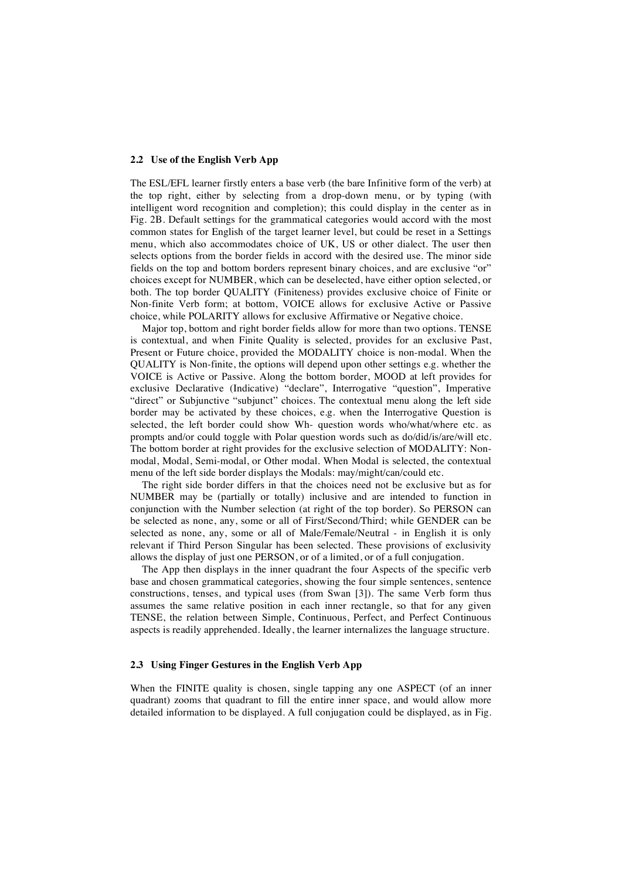#### **2.2 Use of the English Verb App**

The ESL/EFL learner firstly enters a base verb (the bare Infinitive form of the verb) at the top right, either by selecting from a drop-down menu, or by typing (with intelligent word recognition and completion); this could display in the center as in Fig. 2B. Default settings for the grammatical categories would accord with the most common states for English of the target learner level, but could be reset in a Settings menu, which also accommodates choice of UK, US or other dialect. The user then selects options from the border fields in accord with the desired use. The minor side fields on the top and bottom borders represent binary choices, and are exclusive "or" choices except for NUMBER, which can be deselected, have either option selected, or both. The top border QUALITY (Finiteness) provides exclusive choice of Finite or Non-finite Verb form; at bottom, VOICE allows for exclusive Active or Passive choice, while POLARITY allows for exclusive Affirmative or Negative choice.

Major top, bottom and right border fields allow for more than two options. TENSE is contextual, and when Finite Quality is selected, provides for an exclusive Past, Present or Future choice, provided the MODALITY choice is non-modal. When the QUALITY is Non-finite, the options will depend upon other settings e.g. whether the VOICE is Active or Passive. Along the bottom border, MOOD at left provides for exclusive Declarative (Indicative) "declare", Interrogative "question", Imperative "direct" or Subjunctive "subjunct" choices. The contextual menu along the left side border may be activated by these choices, e.g. when the Interrogative Question is selected, the left border could show Wh- question words who/what/where etc. as prompts and/or could toggle with Polar question words such as do/did/is/are/will etc. The bottom border at right provides for the exclusive selection of MODALITY: Nonmodal, Modal, Semi-modal, or Other modal. When Modal is selected, the contextual menu of the left side border displays the Modals: may/might/can/could etc.

The right side border differs in that the choices need not be exclusive but as for NUMBER may be (partially or totally) inclusive and are intended to function in conjunction with the Number selection (at right of the top border). So PERSON can be selected as none, any, some or all of First/Second/Third; while GENDER can be selected as none, any, some or all of Male/Female/Neutral - in English it is only relevant if Third Person Singular has been selected. These provisions of exclusivity allows the display of just one PERSON, or of a limited, or of a full conjugation.

The App then displays in the inner quadrant the four Aspects of the specific verb base and chosen grammatical categories, showing the four simple sentences, sentence constructions, tenses, and typical uses (from Swan [3]). The same Verb form thus assumes the same relative position in each inner rectangle, so that for any given TENSE, the relation between Simple, Continuous, Perfect, and Perfect Continuous aspects is readily apprehended. Ideally, the learner internalizes the language structure.

#### **2.3 Using Finger Gestures in the English Verb App**

When the FINITE quality is chosen, single tapping any one ASPECT (of an inner quadrant) zooms that quadrant to fill the entire inner space, and would allow more detailed information to be displayed. A full conjugation could be displayed, as in Fig.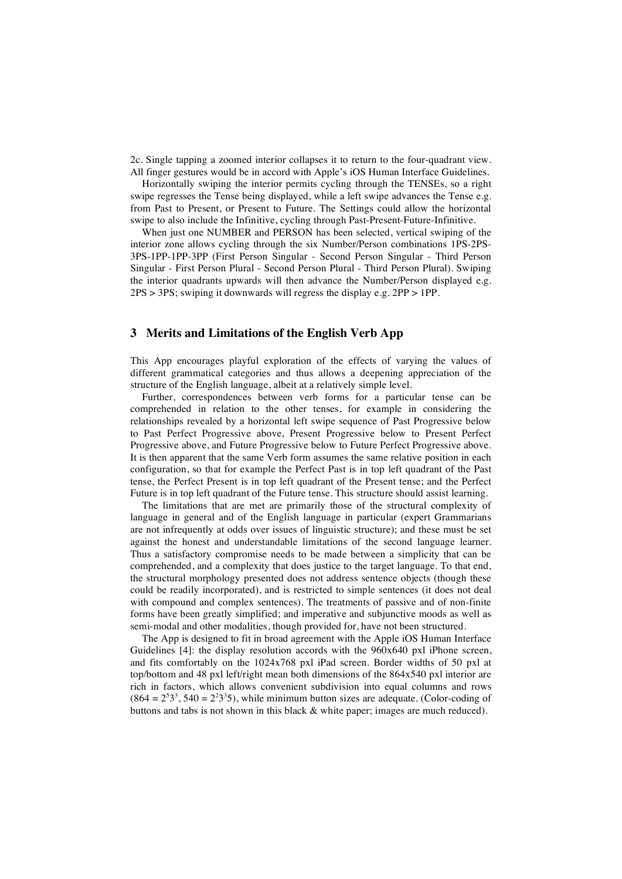2c. Single tapping a zoomed interior collapses it to return to the four-quadrant view. All finger gestures would be in accord with Apple's iOS Human Interface Guidelines.

Horizontally swiping the interior permits cycling through the TENSEs, so a right swipe regresses the Tense being displayed, while a left swipe advances the Tense e.g. from Past to Present, or Present to Future. The Settings could allow the horizontal swipe to also include the Infinitive, cycling through Past-Present-Future-Infinitive.

When just one NUMBER and PERSON has been selected, vertical swiping of the interior zone allows cycling through the six Number/Person combinations 1PS-2PS-3PS-1PP-1PP-3PP (First Person Singular - Second Person Singular - Third Person Singular - First Person Plural - Second Person Plural - Third Person Plural). Swiping the interior quadrants upwards will then advance the Number/Person displayed e.g. 2PS > 3PS; swiping it downwards will regress the display e.g. 2PP > 1PP.

# **3 Merits and Limitations of the English Verb App**

This App encourages playful exploration of the effects of varying the values of different grammatical categories and thus allows a deepening appreciation of the structure of the English language, albeit at a relatively simple level.

Further, correspondences between verb forms for a particular tense can be comprehended in relation to the other tenses, for example in considering the relationships revealed by a horizontal left swipe sequence of Past Progressive below to Past Perfect Progressive above, Present Progressive below to Present Perfect Progressive above, and Future Progressive below to Future Perfect Progressive above. It is then apparent that the same Verb form assumes the same relative position in each configuration, so that for example the Perfect Past is in top left quadrant of the Past tense, the Perfect Present is in top left quadrant of the Present tense; and the Perfect Future is in top left quadrant of the Future tense. This structure should assist learning.

The limitations that are met are primarily those of the structural complexity of language in general and of the English language in particular (expert Grammarians are not infrequently at odds over issues of linguistic structure); and these must be set against the honest and understandable limitations of the second language learner. Thus a satisfactory compromise needs to be made between a simplicity that can be comprehended, and a complexity that does justice to the target language. To that end, the structural morphology presented does not address sentence objects (though these could be readily incorporated), and is restricted to simple sentences (it does not deal with compound and complex sentences). The treatments of passive and of non-finite forms have been greatly simplified; and imperative and subjunctive moods as well as semi-modal and other modalities, though provided for, have not been structured.

The App is designed to fit in broad agreement with the Apple iOS Human Interface Guidelines [4]: the display resolution accords with the  $960x640$  pxl iPhone screen, and fits comfortably on the 1024x768 pxl iPad screen. Border widths of 50 pxl at top/bottom and 48 pxl left/right mean both dimensions of the 864x540 pxl interior are rich in factors, which allows convenient subdivision into equal columns and rows  $(864 = 2<sup>5</sup>3<sup>3</sup>, 540 = 2<sup>2</sup>3<sup>3</sup>5)$ , while minimum button sizes are adequate. (Color-coding of buttons and tabs is not shown in this black & white paper; images are much reduced).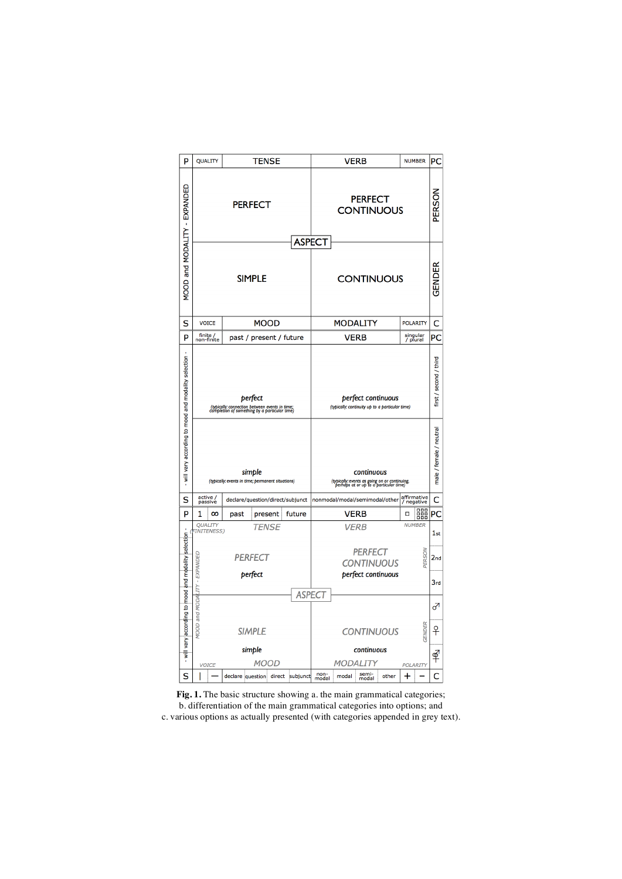

Fig. 1. The basic structure showing a. the main grammatical categories; b. differentiation of the main grammatical categories into options; and c. various options as actually presented (with categories appended in grey text).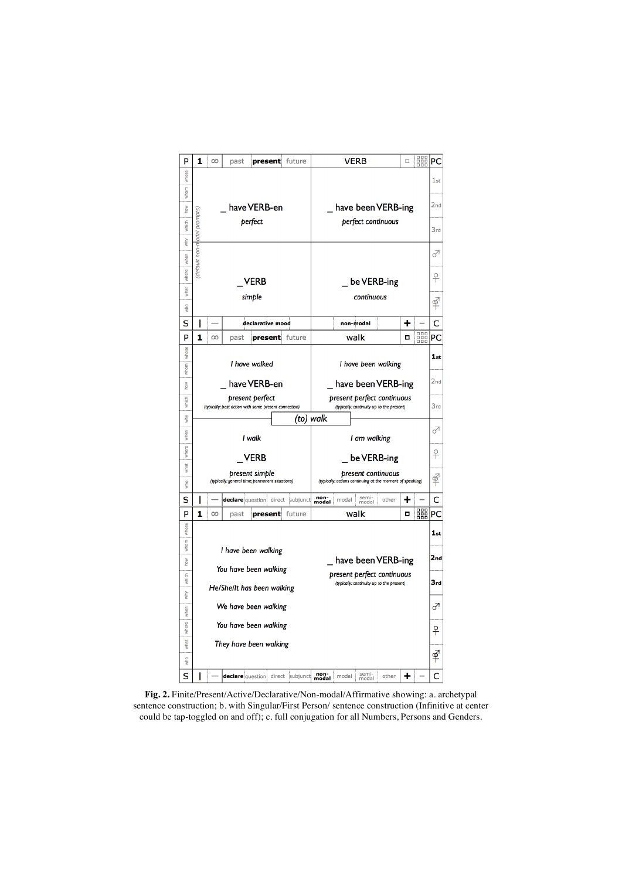

**Fig. 2.** Finite/Present/Active/Declarative/Non-modal/Affirmative showing: a. archetypal sentence construction; b. with Singular/First Person/ sentence construction (Infinitive at center could be tap-toggled on and off); c. full conjugation for all Numbers, Persons and Genders.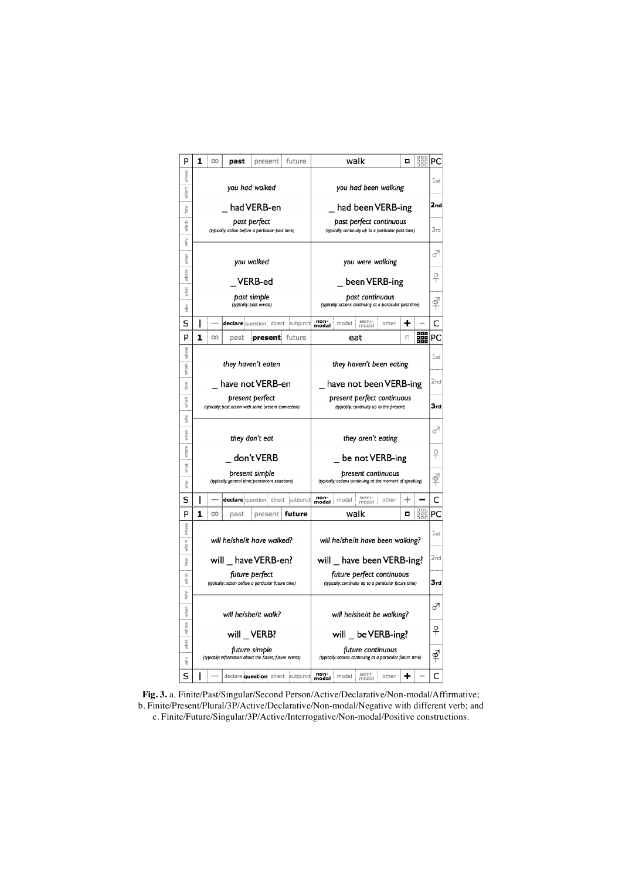

**Fig. 3.** a. Finite/Past/Singular/Second Person/Active/Declarative/Non-modal/Affirmative; b. Finite/Present/Plural/3P/Active/Declarative/Non-modal/Negative with different verb; and c. Finite/Future/Singular/3P/Active/Interrogative/Non-modal/Positive constructions.